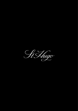St Augo